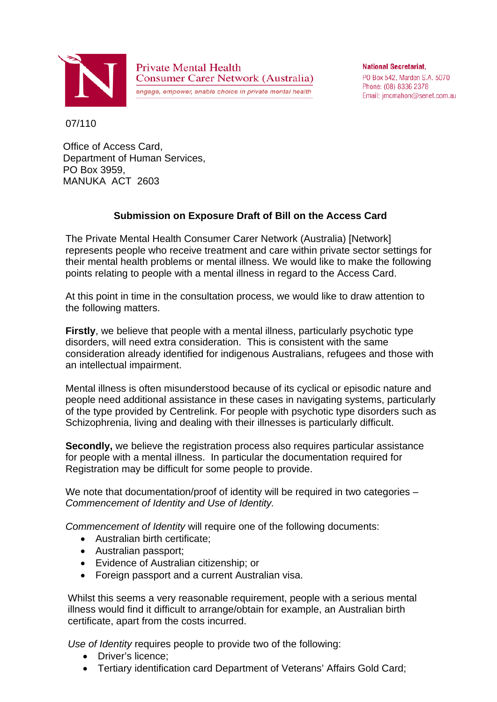

**Private Mental Health Consumer Carer Network (Australia)** engage, empower, enable choice in private mental health

**National Secretariat.** PO Box 542, Marden S.A. 5070 Phone: (08) 8336 2378 Email: jmcmahon@senet.com.au

07/110

Office of Access Card, Department of Human Services, PO Box 3959, MANUKA ACT 2603

## **Submission on Exposure Draft of Bill on the Access Card**

The Private Mental Health Consumer Carer Network (Australia) [Network] represents people who receive treatment and care within private sector settings for their mental health problems or mental illness. We would like to make the following points relating to people with a mental illness in regard to the Access Card.

At this point in time in the consultation process, we would like to draw attention to the following matters.

**Firstly**, we believe that people with a mental illness, particularly psychotic type disorders, will need extra consideration. This is consistent with the same consideration already identified for indigenous Australians, refugees and those with an intellectual impairment.

Mental illness is often misunderstood because of its cyclical or episodic nature and people need additional assistance in these cases in navigating systems, particularly of the type provided by Centrelink. For people with psychotic type disorders such as Schizophrenia, living and dealing with their illnesses is particularly difficult.

**Secondly,** we believe the registration process also requires particular assistance for people with a mental illness. In particular the documentation required for Registration may be difficult for some people to provide.

We note that documentation/proof of identity will be required in two categories – *Commencement of Identity and Use of Identity.*

*Commencement of Identity* will require one of the following documents:

- Australian birth certificate;
- Australian passport;
- Evidence of Australian citizenship; or
- Foreign passport and a current Australian visa.

Whilst this seems a very reasonable requirement, people with a serious mental illness would find it difficult to arrange/obtain for example, an Australian birth certificate, apart from the costs incurred.

*Use of Identity* requires people to provide two of the following:

- Driver's licence;
- Tertiary identification card Department of Veterans' Affairs Gold Card;